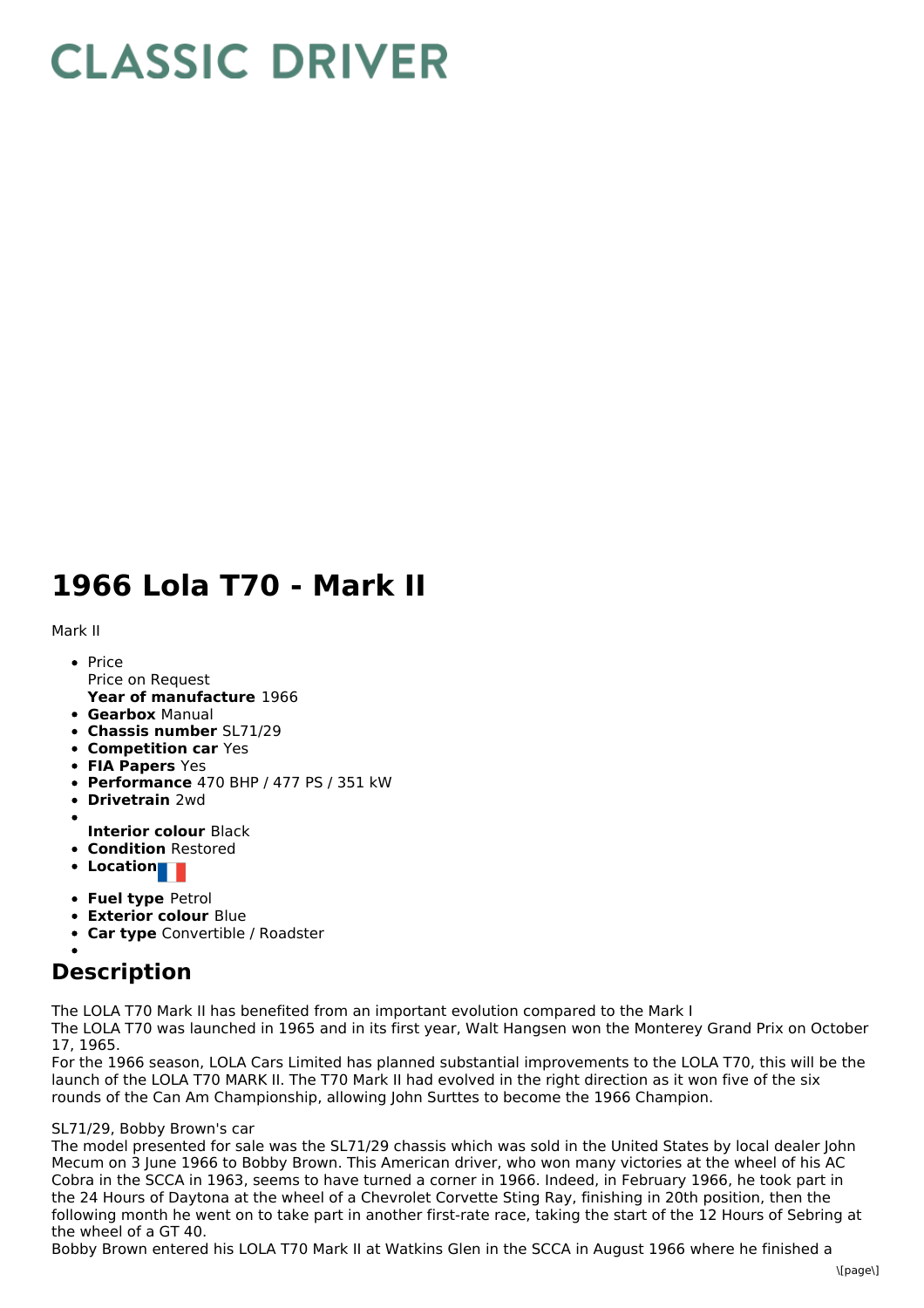# **CLASSIC DRIVER**

## **1966 Lola T70 - Mark II**

Mark II

- **Year of manufacture** 1966 • Price Price on Request
- **Gearbox** Manual
- **Chassis number** SL71/29
- **Competition car** Yes
- **FIA Papers** Yes
- **Performance** 470 BHP / 477 PS / 351 kW
- **Drivetrain** 2wd
- **Interior colour** Black
- **Condition** Restored
- **Location**
- **Fuel type** Petrol
- **Exterior colour** Blue
- **Car type** Convertible / Roadster

## **Description**

The LOLA T70 Mark II has benefited from an important evolution compared to the Mark I

The LOLA T70 was launched in 1965 and in its first year, Walt Hangsen won the Monterey Grand Prix on October 17, 1965.

For the 1966 season, LOLA Cars Limited has planned substantial improvements to the LOLA T70, this will be the launch of the LOLA T70 MARK II. The T70 Mark II had evolved in the right direction as it won five of the six rounds of the Can Am Championship, allowing John Surttes to become the 1966 Champion.

### SL71/29, Bobby Brown's car

The model presented for sale was the SL71/29 chassis which was sold in the United States by local dealer John Mecum on 3 June 1966 to Bobby Brown. This American driver, who won many victories at the wheel of his AC Cobra in the SCCA in 1963, seems to have turned a corner in 1966. Indeed, in February 1966, he took part in the 24 Hours of Daytona at the wheel of a Chevrolet Corvette Sting Ray, finishing in 20th position, then the following month he went on to take part in another first-rate race, taking the start of the 12 Hours of Sebring at the wheel of a GT 40.

Bobby Brown entered his LOLA T70 Mark II at Watkins Glen in the SCCA in August 1966 where he finished a